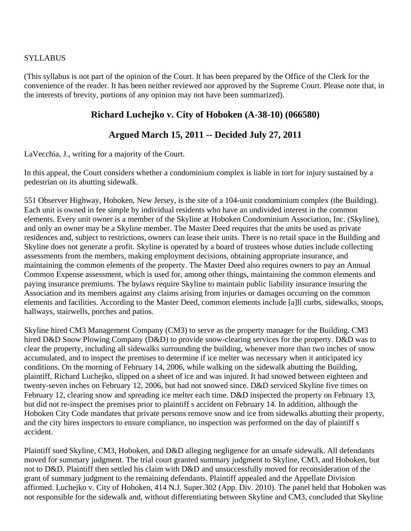#### **SYLLABUS**

(This syllabus is not part of the opinion of the Court. It has been prepared by the Office of the Clerk for the convenience of the reader. It has been neither reviewed nor approved by the Supreme Court. Please note that, in the interests of brevity, portions of any opinion may not have been summarized).

## **Richard Luchejko v. City of Hoboken (A-38-10) (066580)**

# **Argued March 15, 2011 -- Decided July 27, 2011**

LaVecchia, J., writing for a majority of the Court.

In this appeal, the Court considers whether a condominium complex is liable in tort for injury sustained by a pedestrian on its abutting sidewalk.

551 Observer Highway, Hoboken, New Jersey, is the site of a 104-unit condominium complex (the Building). Each unit is owned in fee simple by individual residents who have an undivided interest in the common elements. Every unit owner is a member of the Skyline at Hoboken Condominium Association, Inc. (Skyline), and only an owner may be a Skyline member. The Master Deed requires that the units be used as private residences and, subject to restrictions, owners can lease their units. There is no retail space in the Building and Skyline does not generate a profit. Skyline is operated by a board of trustees whose duties include collecting assessments from the members, making employment decisions, obtaining appropriate insurance, and maintaining the common elements of the property. The Master Deed also requires owners to pay an Annual Common Expense assessment, which is used for, among other things, maintaining the common elements and paying insurance premiums. The bylaws require Skyline to maintain public liability insurance insuring the Association and its members against any claims arising from injuries or damages occurring on the common elements and facilities. According to the Master Deed, common elements include [a]ll curbs, sidewalks, stoops, hallways, stairwells, porches and patios.

Skyline hired CM3 Management Company (CM3) to serve as the property manager for the Building. CM3 hired D&D Snow Plowing Company (D&D) to provide snow-clearing services for the property. D&D was to clear the property, including all sidewalks surrounding the building, whenever more than two inches of snow accumulated, and to inspect the premises to determine if ice melter was necessary when it anticipated icy conditions. On the morning of February 14, 2006, while walking on the sidewalk abutting the Building, plaintiff, Richard Luchejko, slipped on a sheet of ice and was injured. It had snowed between eighteen and twenty-seven inches on February 12, 2006, but had not snowed since. D&D serviced Skyline five times on February 12, clearing snow and spreading ice melter each time. D&D inspected the property on February 13, but did not re-inspect the premises prior to plaintiff s accident on February 14. In addition, although the Hoboken City Code mandates that private persons remove snow and ice from sidewalks abutting their property, and the city hires inspectors to ensure compliance, no inspection was performed on the day of plaintiff s accident.

Plaintiff sued Skyline, CM3, Hoboken, and D&D alleging negligence for an unsafe sidewalk. All defendants moved for summary judgment. The trial court granted summary judgment to Skyline, CM3, and Hoboken, but not to D&D. Plaintiff then settled his claim with D&D and unsuccessfully moved for reconsideration of the grant of summary judgment to the remaining defendants. Plaintiff appealed and the Appellate Division affirmed. Luchejko v. City of Hoboken, 414 N.J. Super.302 (App. Div. 2010). The panel held that Hoboken was not responsible for the sidewalk and, without differentiating between Skyline and CM3, concluded that Skyline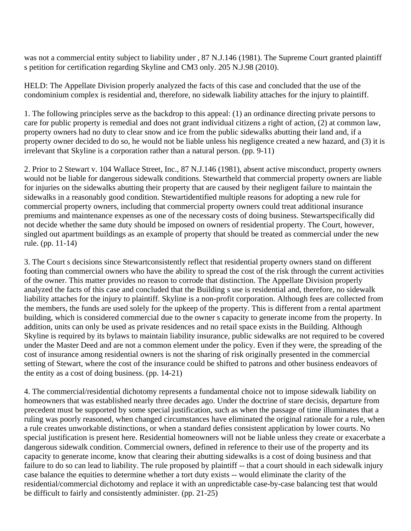was not a commercial entity subject to liability under , 87 N.J.146 (1981). The Supreme Court granted plaintiff s petition for certification regarding Skyline and CM3 only. 205 N.J.98 (2010).

HELD: The Appellate Division properly analyzed the facts of this case and concluded that the use of the condominium complex is residential and, therefore, no sidewalk liability attaches for the injury to plaintiff.

1. The following principles serve as the backdrop to this appeal: (1) an ordinance directing private persons to care for public property is remedial and does not grant individual citizens a right of action, (2) at common law, property owners had no duty to clear snow and ice from the public sidewalks abutting their land and, if a property owner decided to do so, he would not be liable unless his negligence created a new hazard, and (3) it is irrelevant that Skyline is a corporation rather than a natural person. (pp. 9-11)

2. Prior to 2 Stewart v. 104 Wallace Street, Inc., 87 N.J.146 (1981), absent active misconduct, property owners would not be liable for dangerous sidewalk conditions. Stewartheld that commercial property owners are liable for injuries on the sidewalks abutting their property that are caused by their negligent failure to maintain the sidewalks in a reasonably good condition. Stewartidentified multiple reasons for adopting a new rule for commercial property owners, including that commercial property owners could treat additional insurance premiums and maintenance expenses as one of the necessary costs of doing business. Stewartspecifically did not decide whether the same duty should be imposed on owners of residential property. The Court, however, singled out apartment buildings as an example of property that should be treated as commercial under the new rule. (pp. 11-14)

3. The Court s decisions since Stewartconsistently reflect that residential property owners stand on different footing than commercial owners who have the ability to spread the cost of the risk through the current activities of the owner. This matter provides no reason to corrode that distinction. The Appellate Division properly analyzed the facts of this case and concluded that the Building s use is residential and, therefore, no sidewalk liability attaches for the injury to plaintiff. Skyline is a non-profit corporation. Although fees are collected from the members, the funds are used solely for the upkeep of the property. This is different from a rental apartment building, which is considered commercial due to the owner s capacity to generate income from the property. In addition, units can only be used as private residences and no retail space exists in the Building. Although Skyline is required by its bylaws to maintain liability insurance, public sidewalks are not required to be covered under the Master Deed and are not a common element under the policy. Even if they were, the spreading of the cost of insurance among residential owners is not the sharing of risk originally presented in the commercial setting of Stewart, where the cost of the insurance could be shifted to patrons and other business endeavors of the entity as a cost of doing business. (pp. 14-21)

4. The commercial/residential dichotomy represents a fundamental choice not to impose sidewalk liability on homeowners that was established nearly three decades ago. Under the doctrine of stare decisis, departure from precedent must be supported by some special justification, such as when the passage of time illuminates that a ruling was poorly reasoned, when changed circumstances have eliminated the original rationale for a rule, when a rule creates unworkable distinctions, or when a standard defies consistent application by lower courts. No special justification is present here. Residential homeowners will not be liable unless they create or exacerbate a dangerous sidewalk condition. Commercial owners, defined in reference to their use of the property and its capacity to generate income, know that clearing their abutting sidewalks is a cost of doing business and that failure to do so can lead to liability. The rule proposed by plaintiff -- that a court should in each sidewalk injury case balance the equities to determine whether a tort duty exists -- would eliminate the clarity of the residential/commercial dichotomy and replace it with an unpredictable case-by-case balancing test that would be difficult to fairly and consistently administer. (pp. 21-25)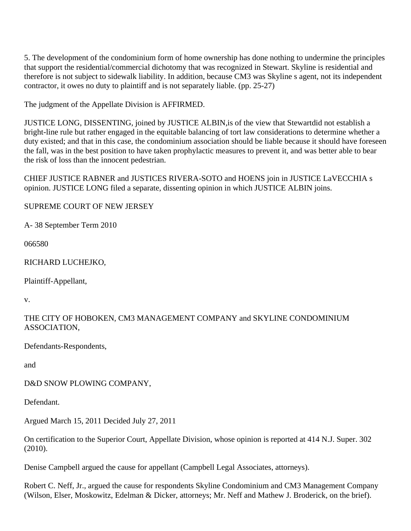5. The development of the condominium form of home ownership has done nothing to undermine the principles that support the residential/commercial dichotomy that was recognized in Stewart. Skyline is residential and therefore is not subject to sidewalk liability. In addition, because CM3 was Skyline s agent, not its independent contractor, it owes no duty to plaintiff and is not separately liable. (pp. 25-27)

The judgment of the Appellate Division is AFFIRMED.

JUSTICE LONG, DISSENTING, joined by JUSTICE ALBIN,is of the view that Stewartdid not establish a bright-line rule but rather engaged in the equitable balancing of tort law considerations to determine whether a duty existed; and that in this case, the condominium association should be liable because it should have foreseen the fall, was in the best position to have taken prophylactic measures to prevent it, and was better able to bear the risk of loss than the innocent pedestrian.

CHIEF JUSTICE RABNER and JUSTICES RIVERA-SOTO and HOENS join in JUSTICE LaVECCHIA s opinion. JUSTICE LONG filed a separate, dissenting opinion in which JUSTICE ALBIN joins.

SUPREME COURT OF NEW JERSEY

A- 38 September Term 2010

066580

RICHARD LUCHEJKO,

Plaintiff-Appellant,

v.

THE CITY OF HOBOKEN, CM3 MANAGEMENT COMPANY and SKYLINE CONDOMINIUM ASSOCIATION,

Defendants-Respondents,

and

D&D SNOW PLOWING COMPANY,

Defendant.

Argued March 15, 2011 Decided July 27, 2011

On certification to the Superior Court, Appellate Division, whose opinion is reported at 414 N.J. Super. 302 (2010).

Denise Campbell argued the cause for appellant (Campbell Legal Associates, attorneys).

Robert C. Neff, Jr., argued the cause for respondents Skyline Condominium and CM3 Management Company (Wilson, Elser, Moskowitz, Edelman & Dicker, attorneys; Mr. Neff and Mathew J. Broderick, on the brief).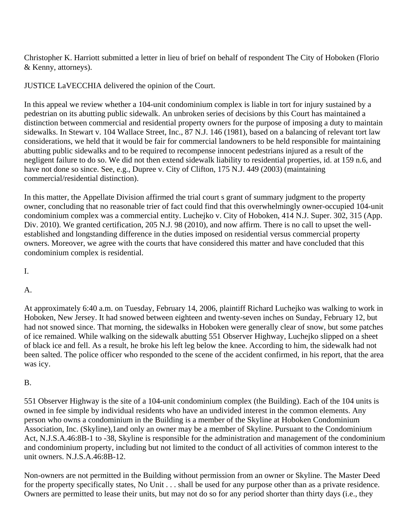Christopher K. Harriott submitted a letter in lieu of brief on behalf of respondent The City of Hoboken (Florio & Kenny, attorneys).

JUSTICE LaVECCHIA delivered the opinion of the Court.

In this appeal we review whether a 104-unit condominium complex is liable in tort for injury sustained by a pedestrian on its abutting public sidewalk. An unbroken series of decisions by this Court has maintained a distinction between commercial and residential property owners for the purpose of imposing a duty to maintain sidewalks. In Stewart v. 104 Wallace Street, Inc., 87 N.J. 146 (1981), based on a balancing of relevant tort law considerations, we held that it would be fair for commercial landowners to be held responsible for maintaining abutting public sidewalks and to be required to recompense innocent pedestrians injured as a result of the negligent failure to do so. We did not then extend sidewalk liability to residential properties, id. at 159 n.6, and have not done so since. See, e.g., Dupree v. City of Clifton, 175 N.J. 449 (2003) (maintaining commercial/residential distinction).

In this matter, the Appellate Division affirmed the trial court s grant of summary judgment to the property owner, concluding that no reasonable trier of fact could find that this overwhelmingly owner-occupied 104-unit condominium complex was a commercial entity. Luchejko v. City of Hoboken, 414 N.J. Super. 302, 315 (App. Div. 2010). We granted certification, 205 N.J. 98 (2010), and now affirm. There is no call to upset the wellestablished and longstanding difference in the duties imposed on residential versus commercial property owners. Moreover, we agree with the courts that have considered this matter and have concluded that this condominium complex is residential.

I.

## A.

At approximately 6:40 a.m. on Tuesday, February 14, 2006, plaintiff Richard Luchejko was walking to work in Hoboken, New Jersey. It had snowed between eighteen and twenty-seven inches on Sunday, February 12, but had not snowed since. That morning, the sidewalks in Hoboken were generally clear of snow, but some patches of ice remained. While walking on the sidewalk abutting 551 Observer Highway, Luchejko slipped on a sheet of black ice and fell. As a result, he broke his left leg below the knee. According to him, the sidewalk had not been salted. The police officer who responded to the scene of the accident confirmed, in his report, that the area was icy.

## B.

551 Observer Highway is the site of a 104-unit condominium complex (the Building). Each of the 104 units is owned in fee simple by individual residents who have an undivided interest in the common elements. Any person who owns a condominium in the Building is a member of the Skyline at Hoboken Condominium Association, Inc. (Skyline),1and only an owner may be a member of Skyline. Pursuant to the Condominium Act, N.J.S.A.46:8B-1 to -38, Skyline is responsible for the administration and management of the condominium and condominium property, including but not limited to the conduct of all activities of common interest to the unit owners. N.J.S.A.46:8B-12.

Non-owners are not permitted in the Building without permission from an owner or Skyline. The Master Deed for the property specifically states, No Unit . . . shall be used for any purpose other than as a private residence. Owners are permitted to lease their units, but may not do so for any period shorter than thirty days (i.e., they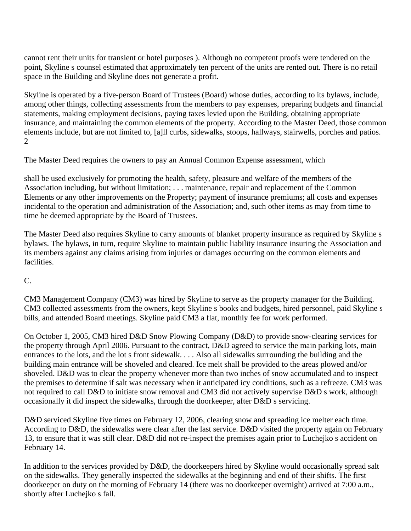cannot rent their units for transient or hotel purposes ). Although no competent proofs were tendered on the point, Skyline s counsel estimated that approximately ten percent of the units are rented out. There is no retail space in the Building and Skyline does not generate a profit.

Skyline is operated by a five-person Board of Trustees (Board) whose duties, according to its bylaws, include, among other things, collecting assessments from the members to pay expenses, preparing budgets and financial statements, making employment decisions, paying taxes levied upon the Building, obtaining appropriate insurance, and maintaining the common elements of the property. According to the Master Deed, those common elements include, but are not limited to, [a]ll curbs, sidewalks, stoops, hallways, stairwells, porches and patios. 2

The Master Deed requires the owners to pay an Annual Common Expense assessment, which

shall be used exclusively for promoting the health, safety, pleasure and welfare of the members of the Association including, but without limitation; . . . maintenance, repair and replacement of the Common Elements or any other improvements on the Property; payment of insurance premiums; all costs and expenses incidental to the operation and administration of the Association; and, such other items as may from time to time be deemed appropriate by the Board of Trustees.

The Master Deed also requires Skyline to carry amounts of blanket property insurance as required by Skyline s bylaws. The bylaws, in turn, require Skyline to maintain public liability insurance insuring the Association and its members against any claims arising from injuries or damages occurring on the common elements and facilities.

C.

CM3 Management Company (CM3) was hired by Skyline to serve as the property manager for the Building. CM3 collected assessments from the owners, kept Skyline s books and budgets, hired personnel, paid Skyline s bills, and attended Board meetings. Skyline paid CM3 a flat, monthly fee for work performed.

On October 1, 2005, CM3 hired D&D Snow Plowing Company (D&D) to provide snow-clearing services for the property through April 2006. Pursuant to the contract, D&D agreed to service the main parking lots, main entrances to the lots, and the lot s front sidewalk. . . . Also all sidewalks surrounding the building and the building main entrance will be shoveled and cleared. Ice melt shall be provided to the areas plowed and/or shoveled. D&D was to clear the property whenever more than two inches of snow accumulated and to inspect the premises to determine if salt was necessary when it anticipated icy conditions, such as a refreeze. CM3 was not required to call D&D to initiate snow removal and CM3 did not actively supervise D&D s work, although occasionally it did inspect the sidewalks, through the doorkeeper, after D&D s servicing.

D&D serviced Skyline five times on February 12, 2006, clearing snow and spreading ice melter each time. According to D&D, the sidewalks were clear after the last service. D&D visited the property again on February 13, to ensure that it was still clear. D&D did not re-inspect the premises again prior to Luchejko s accident on February 14.

In addition to the services provided by D&D, the doorkeepers hired by Skyline would occasionally spread salt on the sidewalks. They generally inspected the sidewalks at the beginning and end of their shifts. The first doorkeeper on duty on the morning of February 14 (there was no doorkeeper overnight) arrived at 7:00 a.m., shortly after Luchejko s fall.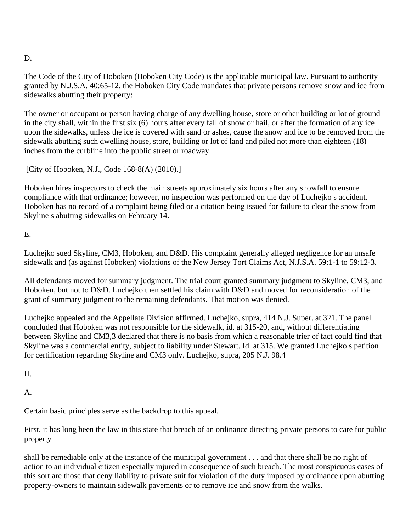## D.

The Code of the City of Hoboken (Hoboken City Code) is the applicable municipal law. Pursuant to authority granted by N.J.S.A. 40:65-12, the Hoboken City Code mandates that private persons remove snow and ice from sidewalks abutting their property:

The owner or occupant or person having charge of any dwelling house, store or other building or lot of ground in the city shall, within the first six (6) hours after every fall of snow or hail, or after the formation of any ice upon the sidewalks, unless the ice is covered with sand or ashes, cause the snow and ice to be removed from the sidewalk abutting such dwelling house, store, building or lot of land and piled not more than eighteen (18) inches from the curbline into the public street or roadway.

[City of Hoboken, N.J., Code 168-8(A) (2010).]

Hoboken hires inspectors to check the main streets approximately six hours after any snowfall to ensure compliance with that ordinance; however, no inspection was performed on the day of Luchejko s accident. Hoboken has no record of a complaint being filed or a citation being issued for failure to clear the snow from Skyline s abutting sidewalks on February 14.

E.

Luchejko sued Skyline, CM3, Hoboken, and D&D. His complaint generally alleged negligence for an unsafe sidewalk and (as against Hoboken) violations of the New Jersey Tort Claims Act, N.J.S.A. 59:1-1 to 59:12-3.

All defendants moved for summary judgment. The trial court granted summary judgment to Skyline, CM3, and Hoboken, but not to D&D. Luchejko then settled his claim with D&D and moved for reconsideration of the grant of summary judgment to the remaining defendants. That motion was denied.

Luchejko appealed and the Appellate Division affirmed. Luchejko, supra, 414 N.J. Super. at 321. The panel concluded that Hoboken was not responsible for the sidewalk, id. at 315-20, and, without differentiating between Skyline and CM3,3 declared that there is no basis from which a reasonable trier of fact could find that Skyline was a commercial entity, subject to liability under Stewart. Id. at 315. We granted Luchejko s petition for certification regarding Skyline and CM3 only. Luchejko, supra, 205 N.J. 98.4

II.

A.

Certain basic principles serve as the backdrop to this appeal.

First, it has long been the law in this state that breach of an ordinance directing private persons to care for public property

shall be remediable only at the instance of the municipal government . . . and that there shall be no right of action to an individual citizen especially injured in consequence of such breach. The most conspicuous cases of this sort are those that deny liability to private suit for violation of the duty imposed by ordinance upon abutting property-owners to maintain sidewalk pavements or to remove ice and snow from the walks.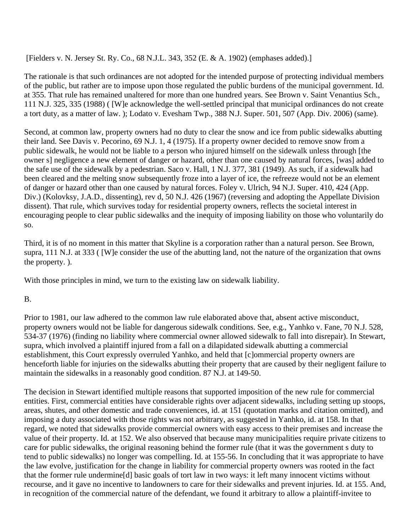[Fielders v. N. Jersey St. Ry. Co., 68 N.J.L. 343, 352 (E. & A. 1902) (emphases added).]

The rationale is that such ordinances are not adopted for the intended purpose of protecting individual members of the public, but rather are to impose upon those regulated the public burdens of the municipal government. Id. at 355. That rule has remained unaltered for more than one hundred years. See Brown v. Saint Venantius Sch., 111 N.J. 325, 335 (1988) ( [W]e acknowledge the well-settled principal that municipal ordinances do not create a tort duty, as a matter of law. ); Lodato v. Evesham Twp., 388 N.J. Super. 501, 507 (App. Div. 2006) (same).

Second, at common law, property owners had no duty to clear the snow and ice from public sidewalks abutting their land. See Davis v. Pecorino, 69 N.J. 1, 4 (1975). If a property owner decided to remove snow from a public sidewalk, he would not be liable to a person who injured himself on the sidewalk unless through [the owner s] negligence a new element of danger or hazard, other than one caused by natural forces, [was] added to the safe use of the sidewalk by a pedestrian. Saco v. Hall, 1 N.J. 377, 381 (1949). As such, if a sidewalk had been cleared and the melting snow subsequently froze into a layer of ice, the refreeze would not be an element of danger or hazard other than one caused by natural forces. Foley v. Ulrich, 94 N.J. Super. 410, 424 (App. Div.) (Kolovksy, J.A.D., dissenting), rev d, 50 N.J. 426 (1967) (reversing and adopting the Appellate Division dissent). That rule, which survives today for residential property owners, reflects the societal interest in encouraging people to clear public sidewalks and the inequity of imposing liability on those who voluntarily do so.

Third, it is of no moment in this matter that Skyline is a corporation rather than a natural person. See Brown, supra, 111 N.J. at 333 ( [W]e consider the use of the abutting land, not the nature of the organization that owns the property. ).

With those principles in mind, we turn to the existing law on sidewalk liability.

B.

Prior to 1981, our law adhered to the common law rule elaborated above that, absent active misconduct, property owners would not be liable for dangerous sidewalk conditions. See, e.g., Yanhko v. Fane, 70 N.J. 528, 534-37 (1976) (finding no liability where commercial owner allowed sidewalk to fall into disrepair). In Stewart, supra, which involved a plaintiff injured from a fall on a dilapidated sidewalk abutting a commercial establishment, this Court expressly overruled Yanhko, and held that [c]ommercial property owners are henceforth liable for injuries on the sidewalks abutting their property that are caused by their negligent failure to maintain the sidewalks in a reasonably good condition. 87 N.J. at 149-50.

The decision in Stewart identified multiple reasons that supported imposition of the new rule for commercial entities. First, commercial entities have considerable rights over adjacent sidewalks, including setting up stoops, areas, shutes, and other domestic and trade conveniences, id. at 151 (quotation marks and citation omitted), and imposing a duty associated with those rights was not arbitrary, as suggested in Yanhko, id. at 158. In that regard, we noted that sidewalks provide commercial owners with easy access to their premises and increase the value of their property. Id. at 152. We also observed that because many municipalities require private citizens to care for public sidewalks, the original reasoning behind the former rule (that it was the government s duty to tend to public sidewalks) no longer was compelling. Id. at 155-56. In concluding that it was appropriate to have the law evolve, justification for the change in liability for commercial property owners was rooted in the fact that the former rule undermine[d] basic goals of tort law in two ways: it left many innocent victims without recourse, and it gave no incentive to landowners to care for their sidewalks and prevent injuries. Id. at 155. And, in recognition of the commercial nature of the defendant, we found it arbitrary to allow a plaintiff-invitee to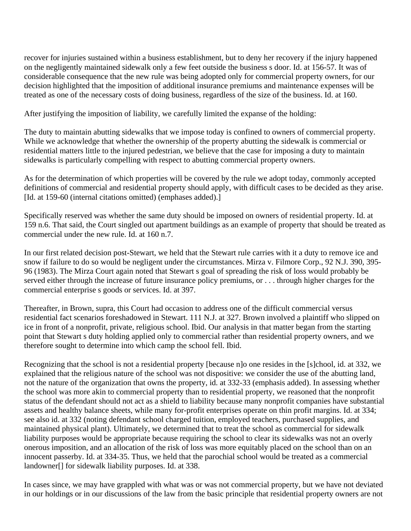recover for injuries sustained within a business establishment, but to deny her recovery if the injury happened on the negligently maintained sidewalk only a few feet outside the business s door. Id. at 156-57. It was of considerable consequence that the new rule was being adopted only for commercial property owners, for our decision highlighted that the imposition of additional insurance premiums and maintenance expenses will be treated as one of the necessary costs of doing business, regardless of the size of the business. Id. at 160.

After justifying the imposition of liability, we carefully limited the expanse of the holding:

The duty to maintain abutting sidewalks that we impose today is confined to owners of commercial property. While we acknowledge that whether the ownership of the property abutting the sidewalk is commercial or residential matters little to the injured pedestrian, we believe that the case for imposing a duty to maintain sidewalks is particularly compelling with respect to abutting commercial property owners.

As for the determination of which properties will be covered by the rule we adopt today, commonly accepted definitions of commercial and residential property should apply, with difficult cases to be decided as they arise. [Id. at 159-60 (internal citations omitted) (emphases added).]

Specifically reserved was whether the same duty should be imposed on owners of residential property. Id. at 159 n.6. That said, the Court singled out apartment buildings as an example of property that should be treated as commercial under the new rule. Id. at 160 n.7.

In our first related decision post-Stewart, we held that the Stewart rule carries with it a duty to remove ice and snow if failure to do so would be negligent under the circumstances. Mirza v. Filmore Corp., 92 N.J. 390, 395- 96 (1983). The Mirza Court again noted that Stewart s goal of spreading the risk of loss would probably be served either through the increase of future insurance policy premiums, or . . . through higher charges for the commercial enterprise s goods or services. Id. at 397.

Thereafter, in Brown, supra, this Court had occasion to address one of the difficult commercial versus residential fact scenarios foreshadowed in Stewart. 111 N.J. at 327. Brown involved a plaintiff who slipped on ice in front of a nonprofit, private, religious school. Ibid. Our analysis in that matter began from the starting point that Stewart s duty holding applied only to commercial rather than residential property owners, and we therefore sought to determine into which camp the school fell. Ibid.

Recognizing that the school is not a residential property [because n]o one resides in the [s]chool, id. at 332, we explained that the religious nature of the school was not dispositive: we consider the use of the abutting land, not the nature of the organization that owns the property, id. at 332-33 (emphasis added). In assessing whether the school was more akin to commercial property than to residential property, we reasoned that the nonprofit status of the defendant should not act as a shield to liability because many nonprofit companies have substantial assets and healthy balance sheets, while many for-profit enterprises operate on thin profit margins. Id. at 334; see also id. at 332 (noting defendant school charged tuition, employed teachers, purchased supplies, and maintained physical plant). Ultimately, we determined that to treat the school as commercial for sidewalk liability purposes would be appropriate because requiring the school to clear its sidewalks was not an overly onerous imposition, and an allocation of the risk of loss was more equitably placed on the school than on an innocent passerby. Id. at 334-35. Thus, we held that the parochial school would be treated as a commercial landowner[] for sidewalk liability purposes. Id. at 338.

In cases since, we may have grappled with what was or was not commercial property, but we have not deviated in our holdings or in our discussions of the law from the basic principle that residential property owners are not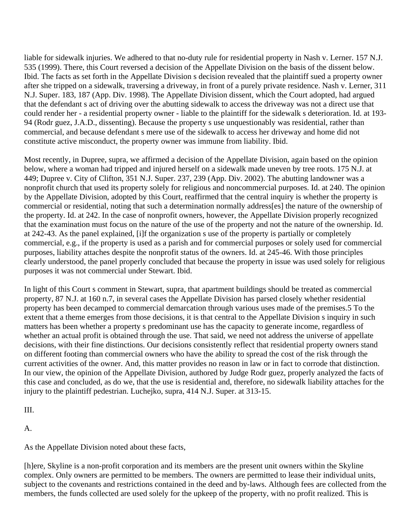liable for sidewalk injuries. We adhered to that no-duty rule for residential property in Nash v. Lerner. 157 N.J. 535 (1999). There, this Court reversed a decision of the Appellate Division on the basis of the dissent below. Ibid. The facts as set forth in the Appellate Division s decision revealed that the plaintiff sued a property owner after she tripped on a sidewalk, traversing a driveway, in front of a purely private residence. Nash v. Lerner, 311 N.J. Super. 183, 187 (App. Div. 1998). The Appellate Division dissent, which the Court adopted, had argued that the defendant s act of driving over the abutting sidewalk to access the driveway was not a direct use that could render her - a residential property owner - liable to the plaintiff for the sidewalk s deterioration. Id. at 193- 94 (Rodr guez, J.A.D., dissenting). Because the property s use unquestionably was residential, rather than commercial, and because defendant s mere use of the sidewalk to access her driveway and home did not constitute active misconduct, the property owner was immune from liability. Ibid.

Most recently, in Dupree, supra, we affirmed a decision of the Appellate Division, again based on the opinion below, where a woman had tripped and injured herself on a sidewalk made uneven by tree roots. 175 N.J. at 449; Dupree v. City of Clifton, 351 N.J. Super. 237, 239 (App. Div. 2002). The abutting landowner was a nonprofit church that used its property solely for religious and noncommercial purposes. Id. at 240. The opinion by the Appellate Division, adopted by this Court, reaffirmed that the central inquiry is whether the property is commercial or residential, noting that such a determination normally address[es] the nature of the ownership of the property. Id. at 242. In the case of nonprofit owners, however, the Appellate Division properly recognized that the examination must focus on the nature of the use of the property and not the nature of the ownership. Id. at 242-43. As the panel explained, [i]f the organization s use of the property is partially or completely commercial, e.g., if the property is used as a parish and for commercial purposes or solely used for commercial purposes, liability attaches despite the nonprofit status of the owners. Id. at 245-46. With those principles clearly understood, the panel properly concluded that because the property in issue was used solely for religious purposes it was not commercial under Stewart. Ibid.

In light of this Court s comment in Stewart, supra, that apartment buildings should be treated as commercial property, 87 N.J. at 160 n.7, in several cases the Appellate Division has parsed closely whether residential property has been decamped to commercial demarcation through various uses made of the premises.5 To the extent that a theme emerges from those decisions, it is that central to the Appellate Division s inquiry in such matters has been whether a property s predominant use has the capacity to generate income, regardless of whether an actual profit is obtained through the use. That said, we need not address the universe of appellate decisions, with their fine distinctions. Our decisions consistently reflect that residential property owners stand on different footing than commercial owners who have the ability to spread the cost of the risk through the current activities of the owner. And, this matter provides no reason in law or in fact to corrode that distinction. In our view, the opinion of the Appellate Division, authored by Judge Rodr guez, properly analyzed the facts of this case and concluded, as do we, that the use is residential and, therefore, no sidewalk liability attaches for the injury to the plaintiff pedestrian. Luchejko, supra, 414 N.J. Super. at 313-15.

III.

A.

As the Appellate Division noted about these facts,

[h]ere, Skyline is a non-profit corporation and its members are the present unit owners within the Skyline complex. Only owners are permitted to be members. The owners are permitted to lease their individual units, subject to the covenants and restrictions contained in the deed and by-laws. Although fees are collected from the members, the funds collected are used solely for the upkeep of the property, with no profit realized. This is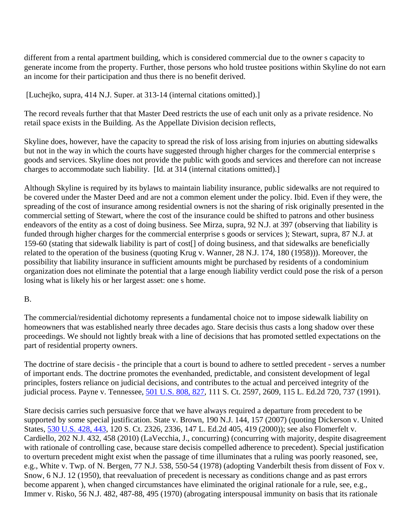different from a rental apartment building, which is considered commercial due to the owner s capacity to generate income from the property. Further, those persons who hold trustee positions within Skyline do not earn an income for their participation and thus there is no benefit derived.

[Luchejko, supra, 414 N.J. Super. at 313-14 (internal citations omitted).]

The record reveals further that that Master Deed restricts the use of each unit only as a private residence. No retail space exists in the Building. As the Appellate Division decision reflects,

Skyline does, however, have the capacity to spread the risk of loss arising from injuries on abutting sidewalks but not in the way in which the courts have suggested through higher charges for the commercial enterprise s goods and services. Skyline does not provide the public with goods and services and therefore can not increase charges to accommodate such liability. [Id. at 314 (internal citations omitted).]

Although Skyline is required by its bylaws to maintain liability insurance, public sidewalks are not required to be covered under the Master Deed and are not a common element under the policy. Ibid. Even if they were, the spreading of the cost of insurance among residential owners is not the sharing of risk originally presented in the commercial setting of Stewart, where the cost of the insurance could be shifted to patrons and other business endeavors of the entity as a cost of doing business. See Mirza, supra, 92 N.J. at 397 (observing that liability is funded through higher charges for the commercial enterprise s goods or services ); Stewart, supra, 87 N.J. at 159-60 (stating that sidewalk liability is part of cost[] of doing business, and that sidewalks are beneficially related to the operation of the business (quoting Krug v. Wanner, 28 N.J. 174, 180 (1958))). Moreover, the possibility that liability insurance in sufficient amounts might be purchased by residents of a condominium organization does not eliminate the potential that a large enough liability verdict could pose the risk of a person losing what is likely his or her largest asset: one s home.

#### B.

The commercial/residential dichotomy represents a fundamental choice not to impose sidewalk liability on homeowners that was established nearly three decades ago. Stare decisis thus casts a long shadow over these proceedings. We should not lightly break with a line of decisions that has promoted settled expectations on the part of residential property owners.

The doctrine of stare decisis - the principle that a court is bound to adhere to settled precedent - serves a number of important ends. The doctrine promotes the evenhanded, predictable, and consistent development of legal principles, fosters reliance on judicial decisions, and contributes to the actual and perceived integrity of the judicial process. Payne v. Tennessee, 501 U.S. 808, 827, 111 S. Ct. 2597, 2609, 115 L. Ed.2d 720, 737 (1991).

Stare decisis carries such persuasive force that we have always required a departure from precedent to be supported by some special justification. State v. Brown, 190 N.J. 144, 157 (2007) (quoting Dickerson v. United States, 530 U.S. 428, 443, 120 S. Ct. 2326, 2336, 147 L. Ed.2d 405, 419 (2000)); see also Flomerfelt v. Cardiello, 202 N.J. 432, 458 (2010) (LaVecchia, J., concurring) (concurring with majority, despite disagreement with rationale of controlling case, because stare decisis compelled adherence to precedent). Special justification to overturn precedent might exist when the passage of time illuminates that a ruling was poorly reasoned, see, e.g., White v. Twp. of N. Bergen, 77 N.J. 538, 550-54 (1978) (adopting Vanderbilt thesis from dissent of Fox v. Snow, 6 N.J. 12 (1950), that reevaluation of precedent is necessary as conditions change and as past errors become apparent ), when changed circumstances have eliminated the original rationale for a rule, see, e.g., Immer v. Risko, 56 N.J. 482, 487-88, 495 (1970) (abrogating interspousal immunity on basis that its rationale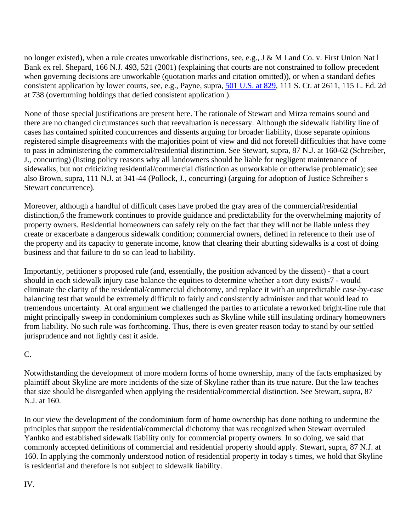no longer existed), when a rule creates unworkable distinctions, see, e.g., J & M Land Co. v. First Union Nat l Bank ex rel. Shepard, 166 N.J. 493, 521 (2001) (explaining that courts are not constrained to follow precedent when governing decisions are unworkable (quotation marks and citation omitted)), or when a standard defies consistent application by lower courts, see, e.g., Payne, supra, 501 U.S. at 829, 111 S. Ct. at 2611, 115 L. Ed. 2d at 738 (overturning holdings that defied consistent application ).

None of those special justifications are present here. The rationale of Stewart and Mirza remains sound and there are no changed circumstances such that reevaluation is necessary. Although the sidewalk liability line of cases has contained spirited concurrences and dissents arguing for broader liability, those separate opinions registered simple disagreements with the majorities point of view and did not foretell difficulties that have come to pass in administering the commercial/residential distinction. See Stewart, supra, 87 N.J. at 160-62 (Schreiber, J., concurring) (listing policy reasons why all landowners should be liable for negligent maintenance of sidewalks, but not criticizing residential/commercial distinction as unworkable or otherwise problematic); see also Brown, supra, 111 N.J. at 341-44 (Pollock, J., concurring) (arguing for adoption of Justice Schreiber s Stewart concurrence).

Moreover, although a handful of difficult cases have probed the gray area of the commercial/residential distinction,6 the framework continues to provide guidance and predictability for the overwhelming majority of property owners. Residential homeowners can safely rely on the fact that they will not be liable unless they create or exacerbate a dangerous sidewalk condition; commercial owners, defined in reference to their use of the property and its capacity to generate income, know that clearing their abutting sidewalks is a cost of doing business and that failure to do so can lead to liability.

Importantly, petitioner s proposed rule (and, essentially, the position advanced by the dissent) - that a court should in each sidewalk injury case balance the equities to determine whether a tort duty exists7 - would eliminate the clarity of the residential/commercial dichotomy, and replace it with an unpredictable case-by-case balancing test that would be extremely difficult to fairly and consistently administer and that would lead to tremendous uncertainty. At oral argument we challenged the parties to articulate a reworked bright-line rule that might principally sweep in condominium complexes such as Skyline while still insulating ordinary homeowners from liability. No such rule was forthcoming. Thus, there is even greater reason today to stand by our settled jurisprudence and not lightly cast it aside.

#### C.

Notwithstanding the development of more modern forms of home ownership, many of the facts emphasized by plaintiff about Skyline are more incidents of the size of Skyline rather than its true nature. But the law teaches that size should be disregarded when applying the residential/commercial distinction. See Stewart, supra, 87 N.J. at 160.

In our view the development of the condominium form of home ownership has done nothing to undermine the principles that support the residential/commercial dichotomy that was recognized when Stewart overruled Yanhko and established sidewalk liability only for commercial property owners. In so doing, we said that commonly accepted definitions of commercial and residential property should apply. Stewart, supra, 87 N.J. at 160. In applying the commonly understood notion of residential property in today s times, we hold that Skyline is residential and therefore is not subject to sidewalk liability.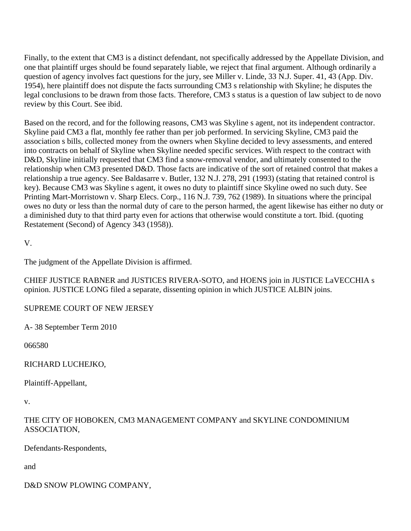Finally, to the extent that CM3 is a distinct defendant, not specifically addressed by the Appellate Division, and one that plaintiff urges should be found separately liable, we reject that final argument. Although ordinarily a question of agency involves fact questions for the jury, see Miller v. Linde, 33 N.J. Super. 41, 43 (App. Div. 1954), here plaintiff does not dispute the facts surrounding CM3 s relationship with Skyline; he disputes the legal conclusions to be drawn from those facts. Therefore, CM3 s status is a question of law subject to de novo review by this Court. See ibid.

Based on the record, and for the following reasons, CM3 was Skyline s agent, not its independent contractor. Skyline paid CM3 a flat, monthly fee rather than per job performed. In servicing Skyline, CM3 paid the association s bills, collected money from the owners when Skyline decided to levy assessments, and entered into contracts on behalf of Skyline when Skyline needed specific services. With respect to the contract with D&D, Skyline initially requested that CM3 find a snow-removal vendor, and ultimately consented to the relationship when CM3 presented D&D. Those facts are indicative of the sort of retained control that makes a relationship a true agency. See Baldasarre v. Butler, 132 N.J. 278, 291 (1993) (stating that retained control is key). Because CM3 was Skyline s agent, it owes no duty to plaintiff since Skyline owed no such duty. See Printing Mart-Morristown v. Sharp Elecs. Corp., 116 N.J. 739, 762 (1989). In situations where the principal owes no duty or less than the normal duty of care to the person harmed, the agent likewise has either no duty or a diminished duty to that third party even for actions that otherwise would constitute a tort. Ibid. (quoting Restatement (Second) of Agency 343 (1958)).

V.

The judgment of the Appellate Division is affirmed.

CHIEF JUSTICE RABNER and JUSTICES RIVERA-SOTO, and HOENS join in JUSTICE LaVECCHIA s opinion. JUSTICE LONG filed a separate, dissenting opinion in which JUSTICE ALBIN joins.

#### SUPREME COURT OF NEW JERSEY

A- 38 September Term 2010

066580

RICHARD LUCHEJKO,

Plaintiff-Appellant,

v.

#### THE CITY OF HOBOKEN, CM3 MANAGEMENT COMPANY and SKYLINE CONDOMINIUM ASSOCIATION,

Defendants-Respondents,

and

D&D SNOW PLOWING COMPANY,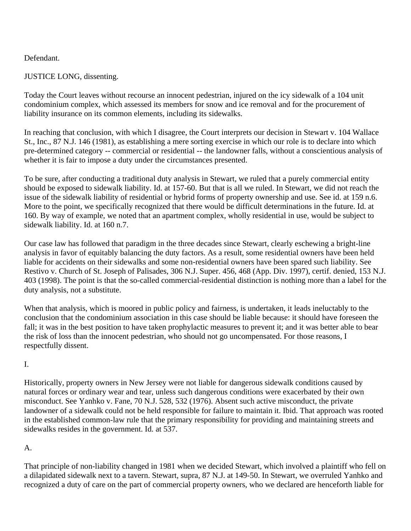#### Defendant.

### JUSTICE LONG, dissenting.

Today the Court leaves without recourse an innocent pedestrian, injured on the icy sidewalk of a 104 unit condominium complex, which assessed its members for snow and ice removal and for the procurement of liability insurance on its common elements, including its sidewalks.

In reaching that conclusion, with which I disagree, the Court interprets our decision in Stewart v. 104 Wallace St., Inc., 87 N.J. 146 (1981), as establishing a mere sorting exercise in which our role is to declare into which pre-determined category -- commercial or residential -- the landowner falls, without a conscientious analysis of whether it is fair to impose a duty under the circumstances presented.

To be sure, after conducting a traditional duty analysis in Stewart, we ruled that a purely commercial entity should be exposed to sidewalk liability. Id. at 157-60. But that is all we ruled. In Stewart, we did not reach the issue of the sidewalk liability of residential or hybrid forms of property ownership and use. See id. at 159 n.6. More to the point, we specifically recognized that there would be difficult determinations in the future. Id. at 160. By way of example, we noted that an apartment complex, wholly residential in use, would be subject to sidewalk liability. Id. at 160 n.7.

Our case law has followed that paradigm in the three decades since Stewart, clearly eschewing a bright-line analysis in favor of equitably balancing the duty factors. As a result, some residential owners have been held liable for accidents on their sidewalks and some non-residential owners have been spared such liability. See Restivo v. Church of St. Joseph of Palisades, 306 N.J. Super. 456, 468 (App. Div. 1997), certif. denied, 153 N.J. 403 (1998). The point is that the so-called commercial-residential distinction is nothing more than a label for the duty analysis, not a substitute.

When that analysis, which is moored in public policy and fairness, is undertaken, it leads ineluctably to the conclusion that the condominium association in this case should be liable because: it should have foreseen the fall; it was in the best position to have taken prophylactic measures to prevent it; and it was better able to bear the risk of loss than the innocent pedestrian, who should not go uncompensated. For those reasons, I respectfully dissent.

#### I.

Historically, property owners in New Jersey were not liable for dangerous sidewalk conditions caused by natural forces or ordinary wear and tear, unless such dangerous conditions were exacerbated by their own misconduct. See Yanhko v. Fane, 70 N.J. 528, 532 (1976). Absent such active misconduct, the private landowner of a sidewalk could not be held responsible for failure to maintain it. Ibid. That approach was rooted in the established common-law rule that the primary responsibility for providing and maintaining streets and sidewalks resides in the government. Id. at 537.

## A.

That principle of non-liability changed in 1981 when we decided Stewart, which involved a plaintiff who fell on a dilapidated sidewalk next to a tavern. Stewart, supra, 87 N.J. at 149-50. In Stewart, we overruled Yanhko and recognized a duty of care on the part of commercial property owners, who we declared are henceforth liable for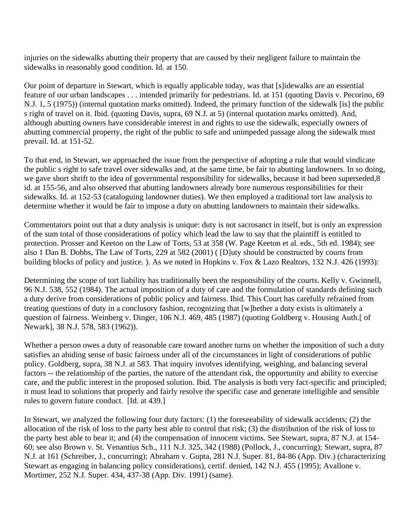injuries on the sidewalks abutting their property that are caused by their negligent failure to maintain the sidewalks in reasonably good condition. Id. at 150.

Our point of departure in Stewart, which is equally applicable today, was that [s]idewalks are an essential feature of our urban landscapes . . . intended primarily for pedestrians. Id. at 151 (quoting Davis v. Pecorino, 69 N.J. 1, 5 (1975)) (internal quotation marks omitted). Indeed, the primary function of the sidewalk [is] the public s right of travel on it. Ibid. (quoting Davis, supra, 69 N.J. at 5) (internal quotation marks omitted). And, although abutting owners have considerable interest in and rights to use the sidewalk, especially owners of abutting commercial property, the right of the public to safe and unimpeded passage along the sidewalk must prevail. Id. at 151-52.

To that end, in Stewart, we approached the issue from the perspective of adopting a rule that would vindicate the public s right to safe travel over sidewalks and, at the same time, be fair to abutting landowners. In so doing, we gave short shrift to the idea of governmental responsibility for sidewalks, because it had been superseded,8 id. at 155-56, and also observed that abutting landowners already bore numerous responsibilities for their sidewalks. Id. at 152-53 (cataloguing landowner duties). We then employed a traditional tort law analysis to determine whether it would be fair to impose a duty on abutting landowners to maintain their sidewalks.

Commentators point out that a duty analysis is unique: duty is not sacrosanct in itself, but is only an expression of the sum total of those considerations of policy which lead the law to say that the plaintiff is entitled to protection. Prosser and Keeton on the Law of Torts, 53 at 358 (W. Page Keeton et al. eds., 5th ed. 1984); see also 1 Dan B. Dobbs, The Law of Torts, 229 at 582 (2001) ( [D]uty should be constructed by courts from building blocks of policy and justice. ). As we noted in Hopkins v. Fox & Lazo Realtors, 132 N.J. 426 (1993):

Determining the scope of tort liability has traditionally been the responsibility of the courts. Kelly v. Gwinnell, 96 N.J. 538, 552 (1984). The actual imposition of a duty of care and the formulation of standards defining such a duty derive from considerations of public policy and fairness. Ibid. This Court has carefully refrained from treating questions of duty in a conclusory fashion, recognizing that [w]hether a duty exists is ultimately a question of fairness. Weinberg v. Dinger, 106 N.J. 469, 485 (1987) (quoting Goldberg v. Housing Auth.[ of Newark], 38 N.J. 578, 583 (1962)).

Whether a person owes a duty of reasonable care toward another turns on whether the imposition of such a duty satisfies an abiding sense of basic fairness under all of the circumstances in light of considerations of public policy. Goldberg, supra, 38 N.J. at 583. That inquiry involves identifying, weighing, and balancing several factors -- the relationship of the parties, the nature of the attendant risk, the opportunity and ability to exercise care, and the public interest in the proposed solution. Ibid. The analysis is both very fact-specific and principled; it must lead to solutions that properly and fairly resolve the specific case and generate intelligible and sensible rules to govern future conduct. [Id. at 439.]

In Stewart, we analyzed the following four duty factors: (1) the foreseeability of sidewalk accidents; (2) the allocation of the risk of loss to the party best able to control that risk; (3) the distribution of the risk of loss to the party best able to bear it; and (4) the compensation of innocent victims. See Stewart, supra, 87 N.J. at 154- 60; see also Brown v. St. Venantius Sch., 111 N.J. 325, 342 (1988) (Pollock, J., concurring); Stewart, supra, 87 N.J. at 161 (Schreiber, J., concurring); Abraham v. Gupta, 281 N.J. Super. 81, 84-86 (App. Div.) (characterizing Stewart as engaging in balancing policy considerations), certif. denied, 142 N.J. 455 (1995); Avallone v. Mortimer, 252 N.J. Super. 434, 437-38 (App. Div. 1991) (same).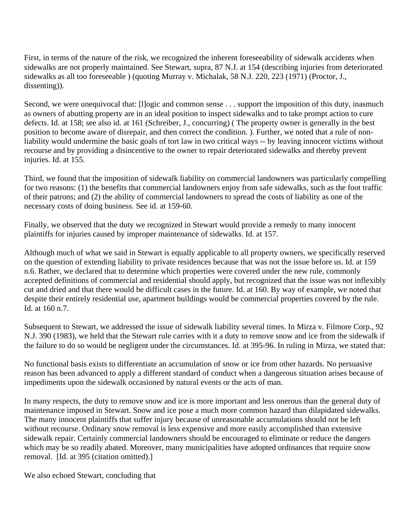First, in terms of the nature of the risk, we recognized the inherent foreseeability of sidewalk accidents when sidewalks are not properly maintained. See Stewart, supra, 87 N.J. at 154 (describing injuries from deteriorated sidewalks as all too foreseeable ) (quoting Murray v. Michalak, 58 N.J. 220, 223 (1971) (Proctor, J., dissenting)).

Second, we were unequivocal that: [l]ogic and common sense . . . support the imposition of this duty, inasmuch as owners of abutting property are in an ideal position to inspect sidewalks and to take prompt action to cure defects. Id. at 158; see also id. at 161 (Schreiber, J., concurring) ( The property owner is generally in the best position to become aware of disrepair, and then correct the condition. ). Further, we noted that a rule of nonliability would undermine the basic goals of tort law in two critical ways -- by leaving innocent victims without recourse and by providing a disincentive to the owner to repair deteriorated sidewalks and thereby prevent injuries. Id. at 155.

Third, we found that the imposition of sidewalk liability on commercial landowners was particularly compelling for two reasons: (1) the benefits that commercial landowners enjoy from safe sidewalks, such as the foot traffic of their patrons; and (2) the ability of commercial landowners to spread the costs of liability as one of the necessary costs of doing business. See id. at 159-60.

Finally, we observed that the duty we recognized in Stewart would provide a remedy to many innocent plaintiffs for injuries caused by improper maintenance of sidewalks. Id. at 157.

Although much of what we said in Stewart is equally applicable to all property owners, we specifically reserved on the question of extending liability to private residences because that was not the issue before us. Id. at 159 n.6. Rather, we declared that to determine which properties were covered under the new rule, commonly accepted definitions of commercial and residential should apply, but recognized that the issue was not inflexibly cut and dried and that there would be difficult cases in the future. Id. at 160. By way of example, we noted that despite their entirely residential use, apartment buildings would be commercial properties covered by the rule. Id. at 160 n.7.

Subsequent to Stewart, we addressed the issue of sidewalk liability several times. In Mirza v. Filmore Corp., 92 N.J. 390 (1983), we held that the Stewart rule carries with it a duty to remove snow and ice from the sidewalk if the failure to do so would be negligent under the circumstances. Id. at 395-96. In ruling in Mirza, we stated that:

No functional basis exists to differentiate an accumulation of snow or ice from other hazards. No persuasive reason has been advanced to apply a different standard of conduct when a dangerous situation arises because of impediments upon the sidewalk occasioned by natural events or the acts of man.

In many respects, the duty to remove snow and ice is more important and less onerous than the general duty of maintenance imposed in Stewart. Snow and ice pose a much more common hazard than dilapidated sidewalks. The many innocent plaintiffs that suffer injury because of unreasonable accumulations should not be left without recourse. Ordinary snow removal is less expensive and more easily accomplished than extensive sidewalk repair. Certainly commercial landowners should be encouraged to eliminate or reduce the dangers which may be so readily abated. Moreover, many municipalities have adopted ordinances that require snow removal. [Id. at 395 (citation omitted).]

We also echoed Stewart, concluding that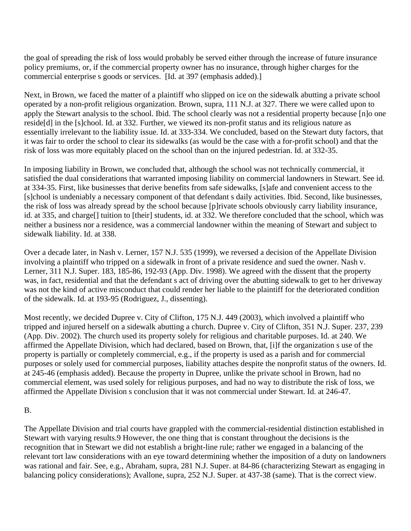the goal of spreading the risk of loss would probably be served either through the increase of future insurance policy premiums, or, if the commercial property owner has no insurance, through higher charges for the commercial enterprise s goods or services. [Id. at 397 (emphasis added).]

Next, in Brown, we faced the matter of a plaintiff who slipped on ice on the sidewalk abutting a private school operated by a non-profit religious organization. Brown, supra, 111 N.J. at 327. There we were called upon to apply the Stewart analysis to the school. Ibid. The school clearly was not a residential property because [n]o one reside[d] in the [s]chool. Id. at 332. Further, we viewed its non-profit status and its religious nature as essentially irrelevant to the liability issue. Id. at 333-334. We concluded, based on the Stewart duty factors, that it was fair to order the school to clear its sidewalks (as would be the case with a for-profit school) and that the risk of loss was more equitably placed on the school than on the injured pedestrian. Id. at 332-35.

In imposing liability in Brown, we concluded that, although the school was not technically commercial, it satisfied the dual considerations that warranted imposing liability on commercial landowners in Stewart. See id. at 334-35. First, like businesses that derive benefits from safe sidewalks, [s]afe and convenient access to the [s]chool is undeniably a necessary component of that defendant s daily activities. Ibid. Second, like businesses, the risk of loss was already spread by the school because [p]rivate schools obviously carry liability insurance, id. at 335, and charge[] tuition to [their] students, id. at 332. We therefore concluded that the school, which was neither a business nor a residence, was a commercial landowner within the meaning of Stewart and subject to sidewalk liability. Id. at 338.

Over a decade later, in Nash v. Lerner, 157 N.J. 535 (1999), we reversed a decision of the Appellate Division involving a plaintiff who tripped on a sidewalk in front of a private residence and sued the owner. Nash v. Lerner, 311 N.J. Super. 183, 185-86, 192-93 (App. Div. 1998). We agreed with the dissent that the property was, in fact, residential and that the defendant s act of driving over the abutting sidewalk to get to her driveway was not the kind of active misconduct that could render her liable to the plaintiff for the deteriorated condition of the sidewalk. Id. at 193-95 (Rodriguez, J., dissenting).

Most recently, we decided Dupree v. City of Clifton, 175 N.J. 449 (2003), which involved a plaintiff who tripped and injured herself on a sidewalk abutting a church. Dupree v. City of Clifton, 351 N.J. Super. 237, 239 (App. Div. 2002). The church used its property solely for religious and charitable purposes. Id. at 240. We affirmed the Appellate Division, which had declared, based on Brown, that, [i]f the organization s use of the property is partially or completely commercial, e.g., if the property is used as a parish and for commercial purposes or solely used for commercial purposes, liability attaches despite the nonprofit status of the owners. Id. at 245-46 (emphasis added). Because the property in Dupree, unlike the private school in Brown, had no commercial element, was used solely for religious purposes, and had no way to distribute the risk of loss, we affirmed the Appellate Division s conclusion that it was not commercial under Stewart. Id. at 246-47.

#### B.

The Appellate Division and trial courts have grappled with the commercial-residential distinction established in Stewart with varying results.9 However, the one thing that is constant throughout the decisions is the recognition that in Stewart we did not establish a bright-line rule; rather we engaged in a balancing of the relevant tort law considerations with an eye toward determining whether the imposition of a duty on landowners was rational and fair. See, e.g., Abraham, supra, 281 N.J. Super. at 84-86 (characterizing Stewart as engaging in balancing policy considerations); Avallone, supra, 252 N.J. Super. at 437-38 (same). That is the correct view.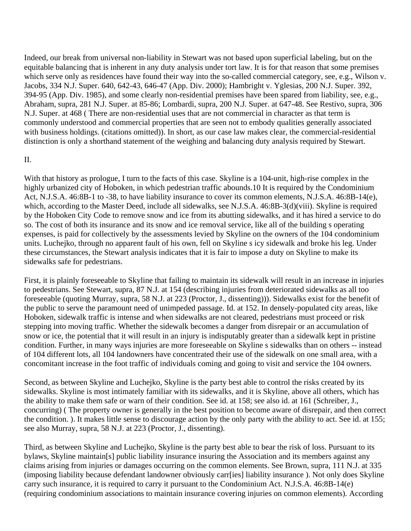Indeed, our break from universal non-liability in Stewart was not based upon superficial labeling, but on the equitable balancing that is inherent in any duty analysis under tort law. It is for that reason that some premises which serve only as residences have found their way into the so-called commercial category, see, e.g., Wilson v. Jacobs, 334 N.J. Super. 640, 642-43, 646-47 (App. Div. 2000); Hambright v. Yglesias, 200 N.J. Super. 392, 394-95 (App. Div. 1985), and some clearly non-residential premises have been spared from liability, see, e.g., Abraham, supra, 281 N.J. Super. at 85-86; Lombardi, supra, 200 N.J. Super. at 647-48. See Restivo, supra, 306 N.J. Super. at 468 ( There are non-residential uses that are not commercial in character as that term is commonly understood and commercial properties that are seen not to embody qualities generally associated with business holdings. (citations omitted)). In short, as our case law makes clear, the commercial-residential distinction is only a shorthand statement of the weighing and balancing duty analysis required by Stewart.

#### II.

With that history as prologue, I turn to the facts of this case. Skyline is a 104-unit, high-rise complex in the highly urbanized city of Hoboken, in which pedestrian traffic abounds.10 It is required by the Condominium Act, N.J.S.A. 46:8B-1 to -38, to have liability insurance to cover its common elements, N.J.S.A. 46:8B-14(e), which, according to the Master Deed, include all sidewalks, see N.J.S.A. 46:8B-3(d)(viii). Skyline is required by the Hoboken City Code to remove snow and ice from its abutting sidewalks, and it has hired a service to do so. The cost of both its insurance and its snow and ice removal service, like all of the building s operating expenses, is paid for collectively by the assessments levied by Skyline on the owners of the 104 condominium units. Luchejko, through no apparent fault of his own, fell on Skyline s icy sidewalk and broke his leg. Under these circumstances, the Stewart analysis indicates that it is fair to impose a duty on Skyline to make its sidewalks safe for pedestrians.

First, it is plainly foreseeable to Skyline that failing to maintain its sidewalk will result in an increase in injuries to pedestrians. See Stewart, supra, 87 N.J. at 154 (describing injuries from deteriorated sidewalks as all too foreseeable (quoting Murray, supra, 58 N.J. at 223 (Proctor, J., dissenting))). Sidewalks exist for the benefit of the public to serve the paramount need of unimpeded passage. Id. at 152. In densely-populated city areas, like Hoboken, sidewalk traffic is intense and when sidewalks are not cleared, pedestrians must proceed or risk stepping into moving traffic. Whether the sidewalk becomes a danger from disrepair or an accumulation of snow or ice, the potential that it will result in an injury is indisputably greater than a sidewalk kept in pristine condition. Further, in many ways injuries are more foreseeable on Skyline s sidewalks than on others -- instead of 104 different lots, all 104 landowners have concentrated their use of the sidewalk on one small area, with a concomitant increase in the foot traffic of individuals coming and going to visit and service the 104 owners.

Second, as between Skyline and Luchejko, Skyline is the party best able to control the risks created by its sidewalks. Skyline is most intimately familiar with its sidewalks, and it is Skyline, above all others, which has the ability to make them safe or warn of their condition. See id. at 158; see also id. at 161 (Schreiber, J., concurring) ( The property owner is generally in the best position to become aware of disrepair, and then correct the condition. ). It makes little sense to discourage action by the only party with the ability to act. See id. at 155; see also Murray, supra, 58 N.J. at 223 (Proctor, J., dissenting).

Third, as between Skyline and Luchejko, Skyline is the party best able to bear the risk of loss. Pursuant to its bylaws, Skyline maintain[s] public liability insurance insuring the Association and its members against any claims arising from injuries or damages occurring on the common elements. See Brown, supra, 111 N.J. at 335 (imposing liability because defendant landowner obviously carr[ies] liability insurance ). Not only does Skyline carry such insurance, it is required to carry it pursuant to the Condominium Act. N.J.S.A. 46:8B-14(e) (requiring condominium associations to maintain insurance covering injuries on common elements). According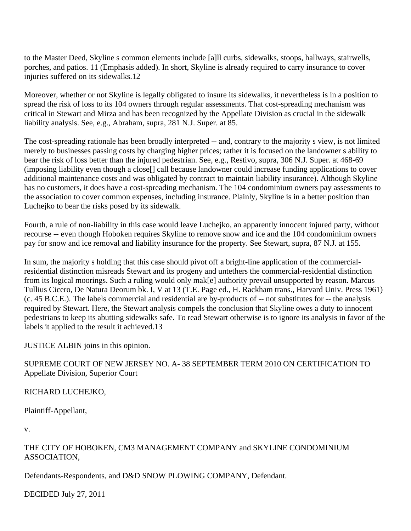to the Master Deed, Skyline s common elements include [a]ll curbs, sidewalks, stoops, hallways, stairwells, porches, and patios. 11 (Emphasis added). In short, Skyline is already required to carry insurance to cover injuries suffered on its sidewalks.12

Moreover, whether or not Skyline is legally obligated to insure its sidewalks, it nevertheless is in a position to spread the risk of loss to its 104 owners through regular assessments. That cost-spreading mechanism was critical in Stewart and Mirza and has been recognized by the Appellate Division as crucial in the sidewalk liability analysis. See, e.g., Abraham, supra, 281 N.J. Super. at 85.

The cost-spreading rationale has been broadly interpreted -- and, contrary to the majority s view, is not limited merely to businesses passing costs by charging higher prices; rather it is focused on the landowner s ability to bear the risk of loss better than the injured pedestrian. See, e.g., Restivo, supra, 306 N.J. Super. at 468-69 (imposing liability even though a close[] call because landowner could increase funding applications to cover additional maintenance costs and was obligated by contract to maintain liability insurance). Although Skyline has no customers, it does have a cost-spreading mechanism. The 104 condominium owners pay assessments to the association to cover common expenses, including insurance. Plainly, Skyline is in a better position than Luchejko to bear the risks posed by its sidewalk.

Fourth, a rule of non-liability in this case would leave Luchejko, an apparently innocent injured party, without recourse -- even though Hoboken requires Skyline to remove snow and ice and the 104 condominium owners pay for snow and ice removal and liability insurance for the property. See Stewart, supra, 87 N.J. at 155.

In sum, the majority s holding that this case should pivot off a bright-line application of the commercialresidential distinction misreads Stewart and its progeny and untethers the commercial-residential distinction from its logical moorings. Such a ruling would only mak[e] authority prevail unsupported by reason. Marcus Tullius Cicero, De Natura Deorum bk. I, V at 13 (T.E. Page ed., H. Rackham trans., Harvard Univ. Press 1961) (c. 45 B.C.E.). The labels commercial and residential are by-products of -- not substitutes for -- the analysis required by Stewart. Here, the Stewart analysis compels the conclusion that Skyline owes a duty to innocent pedestrians to keep its abutting sidewalks safe. To read Stewart otherwise is to ignore its analysis in favor of the labels it applied to the result it achieved.13

JUSTICE ALBIN joins in this opinion.

### SUPREME COURT OF NEW JERSEY NO. A- 38 SEPTEMBER TERM 2010 ON CERTIFICATION TO Appellate Division, Superior Court

## RICHARD LUCHEJKO,

Plaintiff-Appellant,

v.

### THE CITY OF HOBOKEN, CM3 MANAGEMENT COMPANY and SKYLINE CONDOMINIUM ASSOCIATION,

Defendants-Respondents, and D&D SNOW PLOWING COMPANY, Defendant.

DECIDED July 27, 2011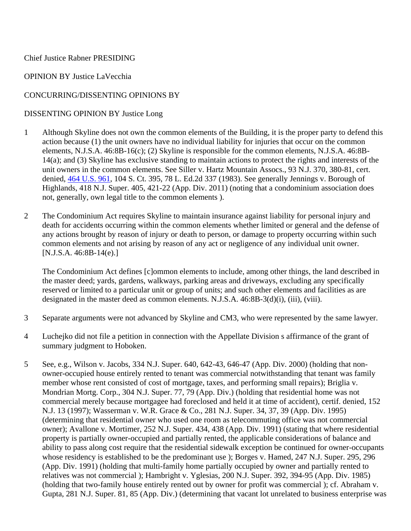#### Chief Justice Rabner PRESIDING

#### OPINION BY Justice LaVecchia

#### CONCURRING/DISSENTING OPINIONS BY

#### DISSENTING OPINION BY Justice Long

- 1 Although Skyline does not own the common elements of the Building, it is the proper party to defend this action because (1) the unit owners have no individual liability for injuries that occur on the common elements, N.J.S.A. 46:8B-16(c); (2) Skyline is responsible for the common elements, N.J.S.A. 46:8B-14(a); and (3) Skyline has exclusive standing to maintain actions to protect the rights and interests of the unit owners in the common elements. See Siller v. Hartz Mountain Assocs., 93 N.J. 370, 380-81, cert. denied, 464 U.S. 961, 104 S. Ct. 395, 78 L. Ed.2d 337 (1983). See generally Jennings v. Borough of Highlands, 418 N.J. Super. 405, 421-22 (App. Div. 2011) (noting that a condominium association does not, generally, own legal title to the common elements ).
- 2 The Condominium Act requires Skyline to maintain insurance against liability for personal injury and death for accidents occurring within the common elements whether limited or general and the defense of any actions brought by reason of injury or death to person, or damage to property occurring within such common elements and not arising by reason of any act or negligence of any individual unit owner. [N.J.S.A. 46:8B-14(e).]

The Condominium Act defines [c]ommon elements to include, among other things, the land described in the master deed; yards, gardens, walkways, parking areas and driveways, excluding any specifically reserved or limited to a particular unit or group of units; and such other elements and facilities as are designated in the master deed as common elements. N.J.S.A. 46:8B-3(d)(i), (iii), (viii).

- 3 Separate arguments were not advanced by Skyline and CM3, who were represented by the same lawyer.
- 4 Luchejko did not file a petition in connection with the Appellate Division s affirmance of the grant of summary judgment to Hoboken.
- 5 See, e.g., Wilson v. Jacobs, 334 N.J. Super. 640, 642-43, 646-47 (App. Div. 2000) (holding that nonowner-occupied house entirely rented to tenant was commercial notwithstanding that tenant was family member whose rent consisted of cost of mortgage, taxes, and performing small repairs); Briglia v. Mondrian Mortg. Corp., 304 N.J. Super. 77, 79 (App. Div.) (holding that residential home was not commercial merely because mortgagee had foreclosed and held it at time of accident), certif. denied, 152 N.J. 13 (1997); Wasserman v. W.R. Grace & Co., 281 N.J. Super. 34, 37, 39 (App. Div. 1995) (determining that residential owner who used one room as telecommuting office was not commercial owner); Avallone v. Mortimer, 252 N.J. Super. 434, 438 (App. Div. 1991) (stating that where residential property is partially owner-occupied and partially rented, the applicable considerations of balance and ability to pass along cost require that the residential sidewalk exception be continued for owner-occupants whose residency is established to be the predominant use ); Borges v. Hamed, 247 N.J. Super. 295, 296 (App. Div. 1991) (holding that multi-family home partially occupied by owner and partially rented to relatives was not commercial ); Hambright v. Yglesias, 200 N.J. Super. 392, 394-95 (App. Div. 1985) (holding that two-family house entirely rented out by owner for profit was commercial ); cf. Abraham v. Gupta, 281 N.J. Super. 81, 85 (App. Div.) (determining that vacant lot unrelated to business enterprise was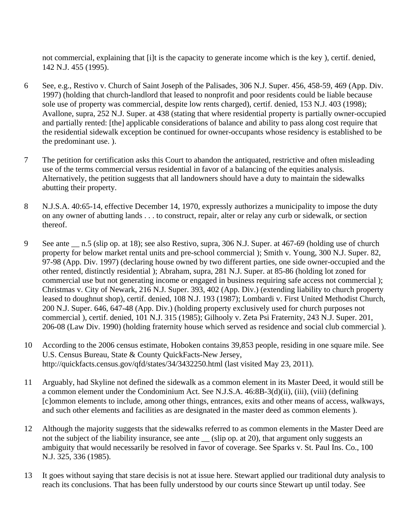not commercial, explaining that [i]t is the capacity to generate income which is the key ), certif. denied, 142 N.J. 455 (1995).

- 6 See, e.g., Restivo v. Church of Saint Joseph of the Palisades, 306 N.J. Super. 456, 458-59, 469 (App. Div. 1997) (holding that church-landlord that leased to nonprofit and poor residents could be liable because sole use of property was commercial, despite low rents charged), certif. denied, 153 N.J. 403 (1998); Avallone, supra, 252 N.J. Super. at 438 (stating that where residential property is partially owner-occupied and partially rented: [the] applicable considerations of balance and ability to pass along cost require that the residential sidewalk exception be continued for owner-occupants whose residency is established to be the predominant use. ).
- 7 The petition for certification asks this Court to abandon the antiquated, restrictive and often misleading use of the terms commercial versus residential in favor of a balancing of the equities analysis. Alternatively, the petition suggests that all landowners should have a duty to maintain the sidewalks abutting their property.
- 8 N.J.S.A. 40:65-14, effective December 14, 1970, expressly authorizes a municipality to impose the duty on any owner of abutting lands . . . to construct, repair, alter or relay any curb or sidewalk, or section thereof.
- 9 See ante \_\_ n.5 (slip op. at 18); see also Restivo, supra, 306 N.J. Super. at 467-69 (holding use of church property for below market rental units and pre-school commercial ); Smith v. Young, 300 N.J. Super. 82, 97-98 (App. Div. 1997) (declaring house owned by two different parties, one side owner-occupied and the other rented, distinctly residential ); Abraham, supra, 281 N.J. Super. at 85-86 (holding lot zoned for commercial use but not generating income or engaged in business requiring safe access not commercial ); Christmas v. City of Newark, 216 N.J. Super. 393, 402 (App. Div.) (extending liability to church property leased to doughnut shop), certif. denied, 108 N.J. 193 (1987); Lombardi v. First United Methodist Church, 200 N.J. Super. 646, 647-48 (App. Div.) (holding property exclusively used for church purposes not commercial ), certif. denied, 101 N.J. 315 (1985); Gilhooly v. Zeta Psi Fraternity, 243 N.J. Super. 201, 206-08 (Law Div. 1990) (holding fraternity house which served as residence and social club commercial ).
- 10 According to the 2006 census estimate, Hoboken contains 39,853 people, residing in one square mile. See U.S. Census Bureau, State & County QuickFacts-New Jersey, http://quickfacts.census.gov/qfd/states/34/3432250.html (last visited May 23, 2011).
- 11 Arguably, had Skyline not defined the sidewalk as a common element in its Master Deed, it would still be a common element under the Condominium Act. See N.J.S.A. 46:8B-3(d)(ii), (iii), (viii) (defining [c]ommon elements to include, among other things, entrances, exits and other means of access, walkways, and such other elements and facilities as are designated in the master deed as common elements ).
- 12 Although the majority suggests that the sidewalks referred to as common elements in the Master Deed are not the subject of the liability insurance, see ante (slip op. at 20), that argument only suggests an ambiguity that would necessarily be resolved in favor of coverage. See Sparks v. St. Paul Ins. Co., 100 N.J. 325, 336 (1985).
- 13 It goes without saying that stare decisis is not at issue here. Stewart applied our traditional duty analysis to reach its conclusions. That has been fully understood by our courts since Stewart up until today. See